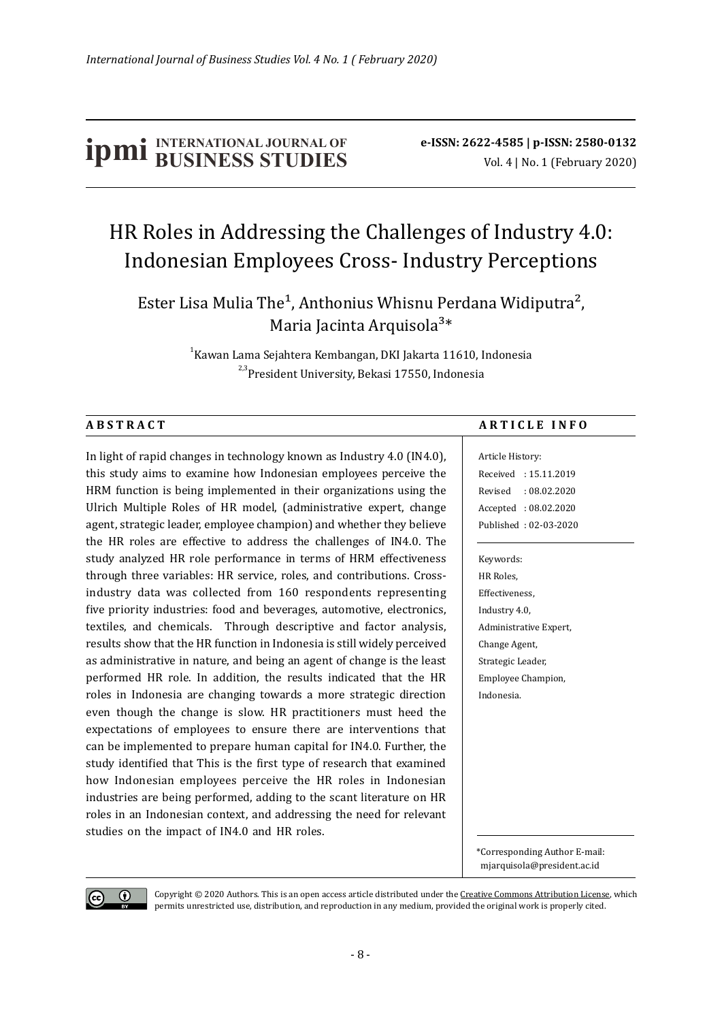# **IDMI** INTERNATIONAL JOURNAL OF **e-ISSN:** 2622-4585 | p-ISSN: 2580-0132<br>Vol. 4 | No. 1 (February 2020)

## HR Roles in Addressing the Challenges of Industry 4.0: Indonesian Employees Cross- Industry Perceptions

Ester Lisa Mulia The<sup>1</sup>, Anthonius Whisnu Perdana Widiputra<sup>2</sup>, Maria Jacinta Arquisola<sup>3\*</sup>

> $^{\rm 1}$ Kawan Lama Sejahtera Kembangan, DKI Jakarta 11610, Indonesia <sup>2,3</sup>President University, Bekasi 17550, Indonesia

In light of rapid changes in technology known as Industry 4.0 (IN4.0), this study aims to examine how Indonesian employees perceive the HRM function is being implemented in their organizations using the Ulrich Multiple Roles of HR model, (administrative expert, change agent, strategic leader, employee champion) and whether they believe the HR roles are effective to address the challenges of IN4.0. The study analyzed HR role performance in terms of HRM effectiveness through three variables: HR service, roles, and contributions. Crossindustry data was collected from 160 respondents representing five priority industries: food and beverages, automotive, electronics, textiles, and chemicals. Through descriptive and factor analysis, results show that the HR function in Indonesia is still widely perceived as administrative in nature, and being an agent of change is the least performed HR role. In addition, the results indicated that the HR roles in Indonesia are changing towards a more strategic direction even though the change is slow. HR practitioners must heed the expectations of employees to ensure there are interventions that can be implemented to prepare human capital for IN4.0. Further, the study identified that This is the first type of research that examined how Indonesian employees perceive the HR roles in Indonesian industries are being performed, adding to the scant literature on HR roles in an Indonesian context, and addressing the need for relevant studies on the impact of IN4.0 and HR roles.

#### ABSTRACT ARTICLE INFO

Article History: Received : 15.11.2019 Revised : 08.02.2020 Accepted : 08.02.2020 Published : 02-03-2020

Keywords: HR Roles, Effectiveness, Industry 4.0, Administrative Expert, Change Agent, Strategic Leader, Employee Champion, Indonesia.

\*Corresponding Author E-mail: mjarquisola@president.ac.id



Copyright © 2020 Authors. This is an open access article distributed under the Creative Commons Attribution License, which permits unrestricted use, distribution, and reproduction in any medium, provided the original work is properly cited.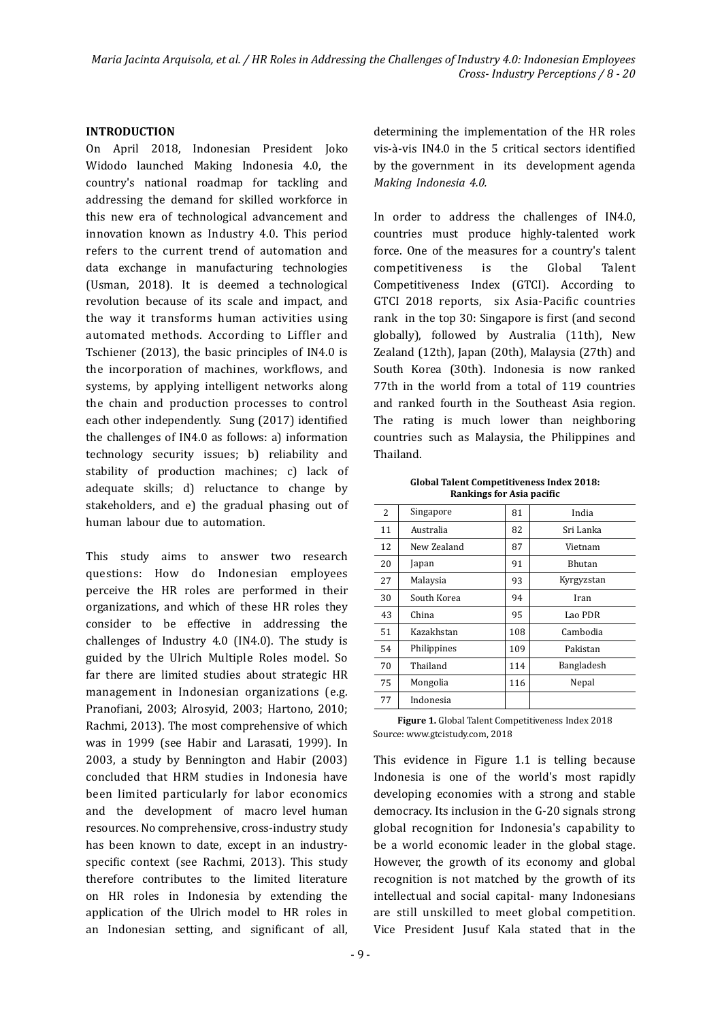#### **INTRODUCTION**

On April 2018, Indonesian President Joko Widodo launched Making Indonesia 4.0, the country's national roadmap for tackling and addressing the demand for skilled workforce in this new era of technological advancement and innovation known as Industry 4.0. This period refers to the current trend of automation and data exchange in manufacturing technologies (Usman, 2018). It is deemed a technological revolution because of its scale and impact, and the way it transforms human activities using automated methods. According to Lifler and Tschiener (2013), the basic principles of IN4.0 is the incorporation of machines, workflows, and systems, by applying intelligent networks along the chain and production processes to control each other independently. Sung (2017) identified the challenges of IN4.0 as follows: a) information technology security issues; b) reliability and stability of production machines; c) lack of adequate skills; d) reluctance to change by stakeholders, and e) the gradual phasing out of human labour due to automation.

This study aims to answer two research questions: How do Indonesian employees perceive the HR roles are performed in their organizations, and which of these HR roles they consider to be effective in addressing the challenges of Industry 4.0 (IN4.0). The study is guided by the Ulrich Multiple Roles model. So far there are limited studies about strategic HR management in Indonesian organizations (e.g. Pranofiani, 2003; Alrosyid, 2003; Hartono, 2010; Rachmi, 2013). The most comprehensive of which was in 1999 (see Habir and Larasati, 1999). In 2003, a study by Bennington and Habir (2003) concluded that HRM studies in Indonesia have been limited particularly for labor economics and the development of macro level human resources. No comprehensive, cross-industry study has been known to date, except in an industryspecific context (see Rachmi, 2013). This study therefore contributes to the limited literature on HR roles in Indonesia by extending the application of the Ulrich model to HR roles in an Indonesian setting, and significant of all, determining the implementation of the HR roles vis-à-vis IN4.0 in the 5 critical sectors identified by the government in its development agenda *Making Indonesia 4.0.*

In order to address the challenges of IN4.0, countries must produce highly-talented work force. One of the measures for a country's talent competitiveness is the Global Talent Competitiveness Index (GTCI). According to GTCI 2018 reports, six Asia-Pacific countries rank in the top 30: Singapore is first (and second globally), followed by Australia (11th), New Zealand (12th), Japan (20th), Malaysia (27th) and South Korea (30th). Indonesia is now ranked 77th in the world from a total of 119 countries and ranked fourth in the Southeast Asia region. The rating is much lower than neighboring countries such as Malaysia, the Philippines and Thailand.

Global Talent Competitiveness Index 2018: **Rankings for Asia pacific** 

| 2  | Singapore   | 81  | India         |
|----|-------------|-----|---------------|
| 11 | Australia   | 82  | Sri Lanka     |
| 12 | New Zealand | 87  | Vietnam       |
| 20 | Japan       | 91  | <b>Bhutan</b> |
| 27 | Malaysia    | 93  | Kyrgyzstan    |
| 30 | South Korea | 94  | Iran          |
| 43 | China       | 95  | Lao PDR       |
| 51 | Kazakhstan  | 108 | Cambodia      |
| 54 | Philippines | 109 | Pakistan      |
| 70 | Thailand    | 114 | Bangladesh    |
| 75 | Mongolia    | 116 | Nepal         |
| 77 | Indonesia   |     |               |

Figure 1. Global Talent Competitiveness Index 2018 Source: www.gtcistudy.com, 2018

This evidence in Figure 1.1 is telling because Indonesia is one of the world's most rapidly developing economies with a strong and stable democracy. Its inclusion in the G-20 signals strong global recognition for Indonesia's capability to be a world economic leader in the global stage. However, the growth of its economy and global recognition is not matched by the growth of its intellectual and social capital- many Indonesians are still unskilled to meet global competition. Vice President Jusuf Kala stated that in the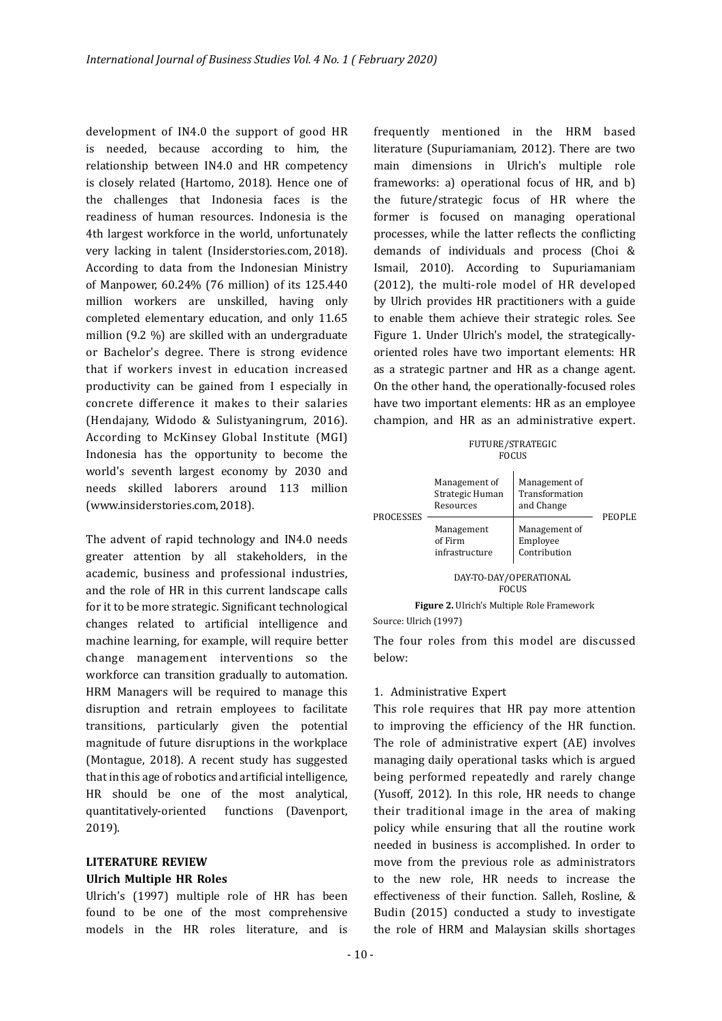development of IN4.0 the support of good HR is needed, because according to him, the relationship between IN4.0 and HR competency is closely related (Hartomo, 2018). Hence one of the challenges that Indonesia faces is the readiness of human resources. Indonesia is the 4th largest workforce in the world, unfortunately very lacking in talent (Insiderstories.com, 2018). According to data from the Indonesian Ministry of Manpower, 60.24% (76 million) of its 125.440 million workers are unskilled, having only completed elementary education, and only 11.65 million (9.2 %) are skilled with an undergraduate or Bachelor's degree. There is strong evidence that if workers invest in education increased productivity can be gained from I especially in concrete difference it makes to their salaries (Hendajany, Widodo & Sulistyaningrum, 2016). According to McKinsey Global Institute (MGI) Indonesia has the opportunity to become the world's seventh largest economy by 2030 and needs skilled laborers around 113 million (www.insiderstories.com, 2018).

The advent of rapid technology and IN4.0 needs greater attention by all stakeholders, in the academic, business and professional industries, and the role of HR in this current landscape calls for it to be more strategic. Significant technological changes related to artificial intelligence and machine learning, for example, will require better change management interventions so the workforce can transition gradually to automation. HRM Managers will be required to manage this disruption and retrain employees to facilitate transitions, particularly given the potential magnitude of future disruptions in the workplace (Montague, 2018). A recent study has suggested that in this age of robotics and artificial intelligence, HR should be one of the most analytical, quantitatively-oriented functions (Davenport, 2019).

#### **Ulrich Multiple HR Roles LITERATURE REVIEW**

Ulrich's (1997) multiple role of HR has been found to be one of the most comprehensive models in the HR roles literature, and is frequently mentioned in the HRM based literature (Supuriamaniam, 2012). There are two main dimensions in Ulrich's multiple role frameworks: a) operational focus of HR, and b) the future/strategic focus of HR where the former is focused on managing operational processes, while the latter reflects the conflicting demands of individuals and process (Choi & Ismail, 2010). According to Supuriamaniam (2012), the multi-role model of HR developed by Ulrich provides HR practitioners with a guide to enable them achieve their strategic roles. See Figure 1. Under Ulrich's model, the strategicallyoriented roles have two important elements: HR as a strategic partner and HR as a change agent. On the other hand, the operationally-focused roles have two important elements: HR as an employee champion, and HR as an administrative expert.

| FUTURE/STRATEGIC |
|------------------|
| <b>FOCUS</b>     |

| <b>PROCESSES</b> | Management of<br>Strategic Human<br>Resources | Management of<br>Transformation<br>and Change | PEOPLE |  |
|------------------|-----------------------------------------------|-----------------------------------------------|--------|--|
|                  | Management<br>of Firm<br>infrastructure       | Management of<br>Employee<br>Contribution     |        |  |
|                  |                                               | DAY-TO-DAY/OPERATIONAL<br><b>FOCUS</b>        |        |  |

**Figure 2.** Ulrich's Multiple Role Framework Source: Ulrich (1997)

The four roles from this model are discussed below:

#### 1. Administrative Expert

This role requires that HR pay more attention to improving the eficiency of the HR function. The role of administrative expert (AE) involves managing daily operational tasks which is argued being performed repeatedly and rarely change (Yusoff, 2012). In this role, HR needs to change their traditional image in the area of making policy while ensuring that all the routine work needed in business is accomplished. In order to move from the previous role as administrators to the new role, HR needs to increase the effectiveness of their function. Salleh, Rosline, & Budin (2015) conducted a study to investigate the role of HRM and Malaysian skills shortages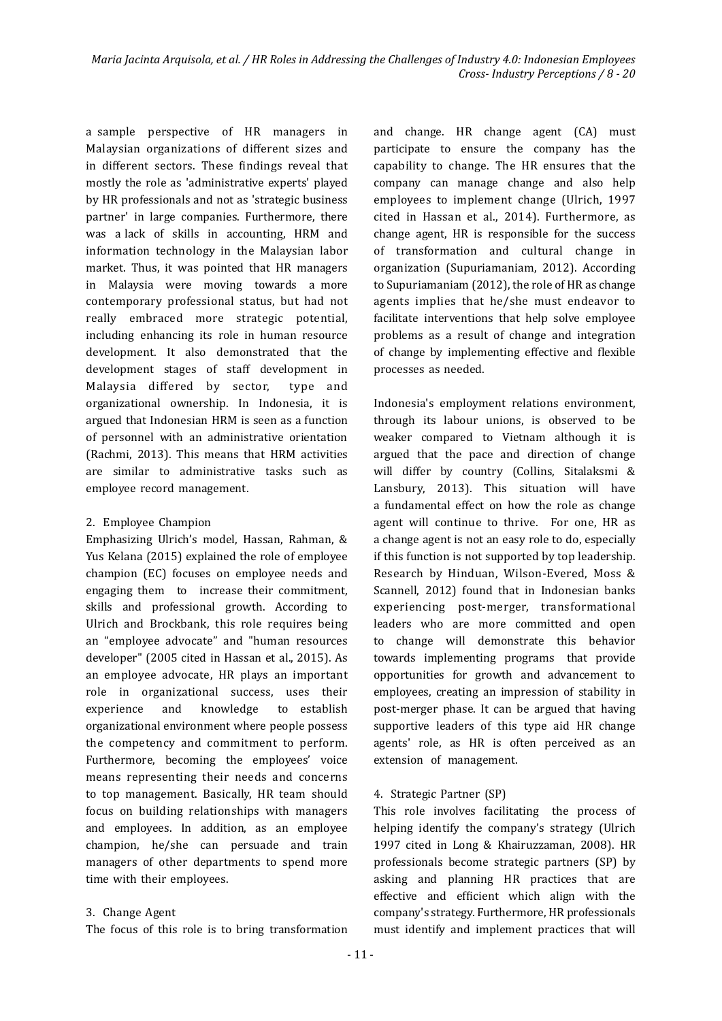a sample perspective of HR managers in Malaysian organizations of different sizes and in different sectors. These findings reveal that mostly the role as 'administrative experts' played by HR professionals and not as 'strategic business partner' in large companies. Furthermore, there was a lack of skills in accounting, HRM and information technology in the Malaysian labor market. Thus, it was pointed that HR managers in Malaysia were moving towards a more contemporary professional status, but had not really embraced more strategic potential, including enhancing its role in human resource development. It also demonstrated that the development stages of staff development in Malaysia differed by sector, type and organizational ownership. In Indonesia, it is argued that Indonesian HRM is seen as a function of personnel with an administrative orientation (Rachmi, 2013). This means that HRM activities are similar to administrative tasks such as employee record management.

#### 2. Employee Champion

Emphasizing Ulrich's model, Hassan, Rahman, & Yus Kelana (2015) explained the role of employee champion (EC) focuses on employee needs and engaging them to increase their commitment, skills and professional growth. According to Ulrich and Brockbank, this role requires being an "employee advocate" and "human resources developer" (2005 cited in Hassan et al., 2015). As an employee advocate, HR plays an important role in organizational success, uses their experience and knowledge to establish organizational environment where people possess the competency and commitment to perform. Furthermore, becoming the employees' voice means representing their needs and concerns to top management. Basically, HR team should focus on building relationships with managers and employees. In addition, as an employee champion, he/she can persuade and train managers of other departments to spend more time with their employees.

#### 3. Change Agent

The focus of this role is to bring transformation must identify and implement practices that will

and change. HR change agent (CA) must participate to ensure the company has the capability to change. The HR ensures that the company can manage change and also help employees to implement change (Ulrich, 1997 cited in Hassan et al., 2014). Furthermore, as change agent, HR is responsible for the success of transformation and cultural change in organization (Supuriamaniam, 2012). According to Supuriamaniam (2012), the role of HR as change agents implies that he/she must endeavor to facilitate interventions that help solve employee problems as a result of change and integration of change by implementing effective and flexible processes as needed.

Indonesia's employment relations environment, through its labour unions, is observed to be weaker compared to Vietnam although it is argued that the pace and direction of change will differ by country (Collins, Sitalaksmi & Lansbury, 2013). This situation will have a fundamental effect on how the role as change agent will continue to thrive. For one, HR as a change agent is not an easy role to do, especially if this function is not supported by top leadership. Research by Hinduan, Wilson-Evered, Moss & Scannell, 2012) found that in Indonesian banks experiencing post-merger, transformational leaders who are more committed and open to change will demonstrate this behavior towards implementing programs that provide opportunities for growth and advancement to employees, creating an impression of stability in post-merger phase. It can be argued that having supportive leaders of this type aid HR change agents' role, as HR is often perceived as an extension of management.

#### 4. Strategic Partner (SP)

This role involves facilitating the process of helping identify the company's strategy (Ulrich 1997 cited in Long & Khairuzzaman, 2008). HR professionals become strategic partners (SP) by asking and planning HR practices that are effective and eficient which align with the company's strategy. Furthermore, HR professionals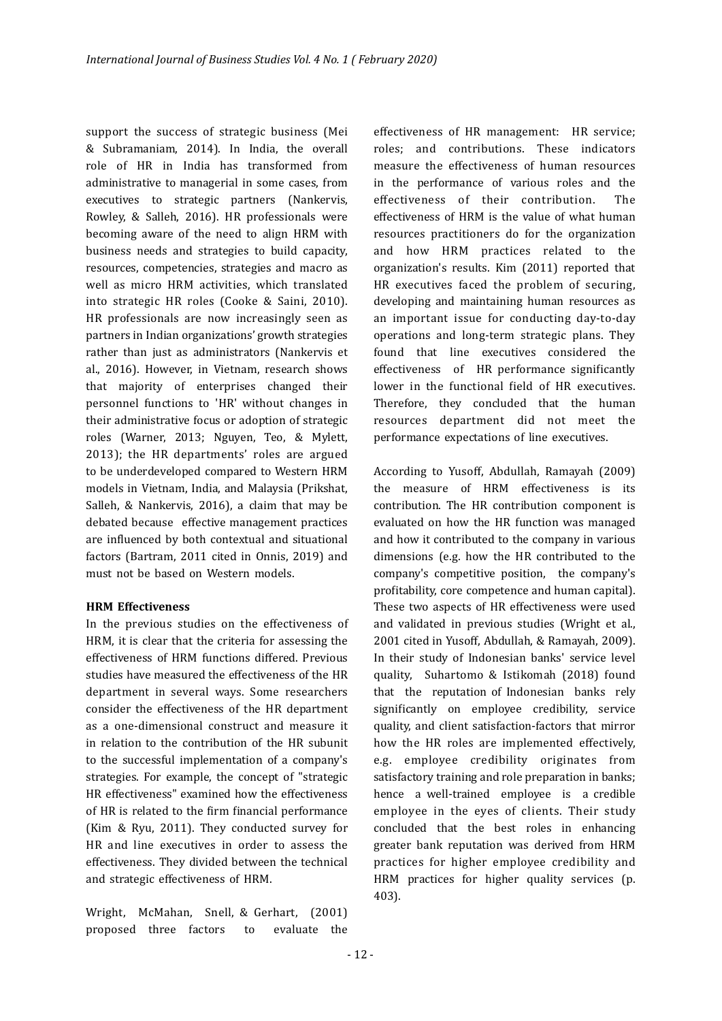support the success of strategic business (Mei & Subramaniam, 2014). In India, the overall role of HR in India has transformed from administrative to managerial in some cases, from executives to strategic partners (Nankervis, Rowley, & Salleh, 2016). HR professionals were becoming aware of the need to align HRM with business needs and strategies to build capacity, resources, competencies, strategies and macro as well as micro HRM activities, which translated into strategic HR roles (Cooke & Saini, 2010). HR professionals are now increasingly seen as partners in Indian organizations' growth strategies rather than just as administrators (Nankervis et al., 2016). However, in Vietnam, research shows that majority of enterprises changed their personnel functions to 'HR' without changes in their administrative focus or adoption of strategic roles (Warner, 2013; Nguyen, Teo, & Mylett, 2013); the HR departments' roles are argued to be underdeveloped compared to Western HRM models in Vietnam, India, and Malaysia (Prikshat, Salleh, & Nankervis, 2016), a claim that may be debated because effective management practices are influenced by both contextual and situational factors (Bartram, 2011 cited in Onnis, 2019) and must not be based on Western models.

#### **HRM Effectiveness**

In the previous studies on the effectiveness of HRM, it is clear that the criteria for assessing the effectiveness of HRM functions differed. Previous studies have measured the effectiveness of the HR department in several ways. Some researchers consider the effectiveness of the HR department as a one-dimensional construct and measure it in relation to the contribution of the HR subunit to the successful implementation of a company's strategies. For example, the concept of "strategic HR effectiveness" examined how the effectiveness of HR is related to the irm inancial performance (Kim & Ryu, 2011). They conducted survey for HR and line executives in order to assess the effectiveness. They divided between the technical and strategic effectiveness of HRM.

Wright, McMahan, Snell, & Gerhart, (2001) proposed three factors to evaluate the

effectiveness of HR management: HR service; roles; and contributions. These indicators measure the effectiveness of human resources in the performance of various roles and the effectiveness of their contribution. The effectiveness of HRM is the value of what human resources practitioners do for the organization and how HRM practices related to the organization's results. Kim (2011) reported that HR executives faced the problem of securing, developing and maintaining human resources as an important issue for conducting day-to-day operations and long-term strategic plans. They found that line executives considered the effectiveness of HR performance significantly lower in the functional field of HR executives. Therefore, they concluded that the human resources department did not meet the performance expectations of line executives.

According to Yusoff, Abdullah, Ramayah (2009) the measure of HRM effectiveness is its contribution. The HR contribution component is evaluated on how the HR function was managed and how it contributed to the company in various dimensions (e.g. how the HR contributed to the company's competitive position, the company's profitability, core competence and human capital). These two aspects of HR effectiveness were used and validated in previous studies (Wright et al., 2001 cited in Yusoff, Abdullah, & Ramayah, 2009). In their study of Indonesian banks' service level quality, Suhartomo & Istikomah (2018) found that the reputation of Indonesian banks rely significantly on employee credibility, service quality, and client satisfaction-factors that mirror how the HR roles are implemented effectively, e.g. employee credibility originates from satisfactory training and role preparation in banks; hence a well-trained employee is a credible employee in the eyes of clients. Their study concluded that the best roles in enhancing greater bank reputation was derived from HRM practices for higher employee credibility and HRM practices for higher quality services (p. 403).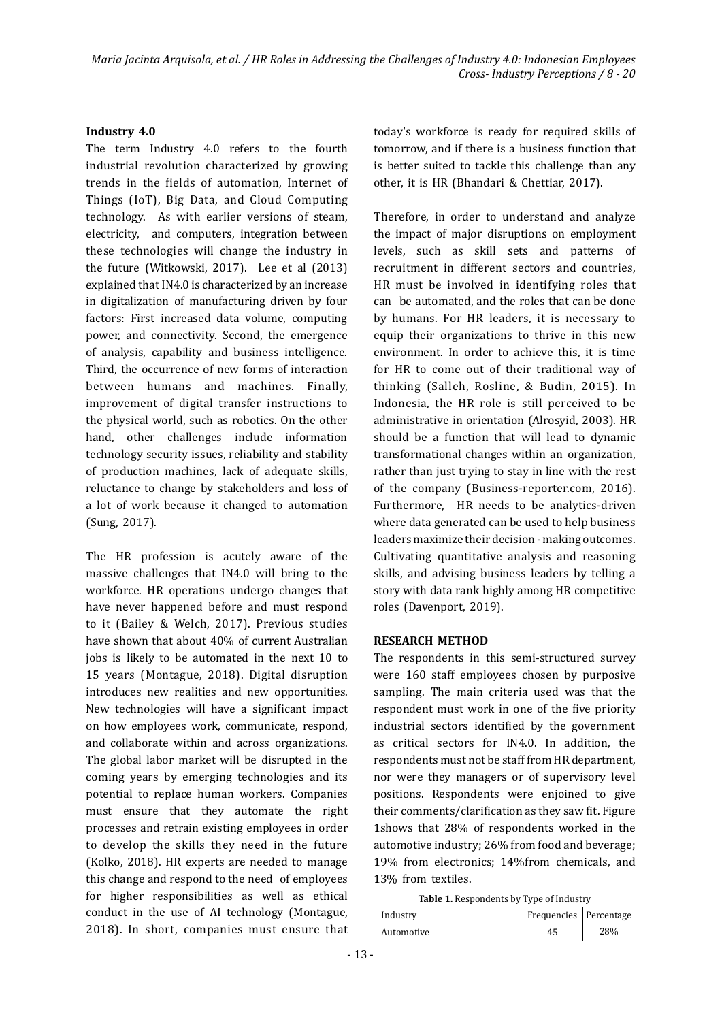#### **Industry 4.0**

The term Industry 4.0 refers to the fourth industrial revolution characterized by growing trends in the fields of automation, Internet of Things (IoT), Big Data, and Cloud Computing technology. As with earlier versions of steam, electricity, and computers, integration between these technologies will change the industry in the future (Witkowski, 2017). Lee et al (2013) explained that IN4.0 is characterized by an increase in digitalization of manufacturing driven by four factors: First increased data volume, computing power, and connectivity. Second, the emergence of analysis, capability and business intelligence. Third, the occurrence of new forms of interaction between humans and machines. Finally, improvement of digital transfer instructions to the physical world, such as robotics. On the other hand, other challenges include information technology security issues, reliability and stability of production machines, lack of adequate skills, reluctance to change by stakeholders and loss of a lot of work because it changed to automation (Sung, 2017).

The HR profession is acutely aware of the massive challenges that IN4.0 will bring to the workforce. HR operations undergo changes that have never happened before and must respond to it (Bailey & Welch, 2017). Previous studies have shown that about 40% of current Australian jobs is likely to be automated in the next 10 to 15 years (Montague, 2018). Digital disruption introduces new realities and new opportunities. New technologies will have a significant impact on how employees work, communicate, respond, and collaborate within and across organizations. The global labor market will be disrupted in the coming years by emerging technologies and its potential to replace human workers. Companies must ensure that they automate the right processes and retrain existing employees in order to develop the skills they need in the future (Kolko, 2018). HR experts are needed to manage this change and respond to the need of employees for higher responsibilities as well as ethical conduct in the use of AI technology (Montague, 2018). In short, companies must ensure that today's workforce is ready for required skills of tomorrow, and if there is a business function that is better suited to tackle this challenge than any other, it is HR (Bhandari & Chettiar, 2017).

Therefore, in order to understand and analyze the impact of major disruptions on employment levels, such as skill sets and patterns of recruitment in different sectors and countries, HR must be involved in identifying roles that can be automated, and the roles that can be done by humans. For HR leaders, it is necessary to equip their organizations to thrive in this new environment. In order to achieve this, it is time for HR to come out of their traditional way of thinking (Salleh, Rosline, & Budin, 2015). In Indonesia, the HR role is still perceived to be administrative in orientation (Alrosyid, 2003). HR should be a function that will lead to dynamic transformational changes within an organization, rather than just trying to stay in line with the rest of the company (Business-reporter.com, 2016). Furthermore, HR needs to be analytics-driven where data generated can be used to help business leaders maximize their decision - making outcomes. Cultivating quantitative analysis and reasoning skills, and advising business leaders by telling a story with data rank highly among HR competitive roles (Davenport, 2019).

#### **RESEARCH METHOD**

The respondents in this semi-structured survey were 160 staff employees chosen by purposive sampling. The main criteria used was that the respondent must work in one of the ive priority industrial sectors identified by the government as critical sectors for IN4.0. In addition, the respondents must not be staff from HR department, nor were they managers or of supervisory level positions. Respondents were enjoined to give their comments/clarification as they saw fit. Figure 1shows that 28% of respondents worked in the automotive industry; 26% from food and beverage; 19% from electronics; 14%from chemicals, and 13% from textiles.

| Table 1. Respondents by Type of Industry |  |
|------------------------------------------|--|
|------------------------------------------|--|

| Industry   | Frequencies   Percentage |  |  |
|------------|--------------------------|--|--|
| Automotive |                          |  |  |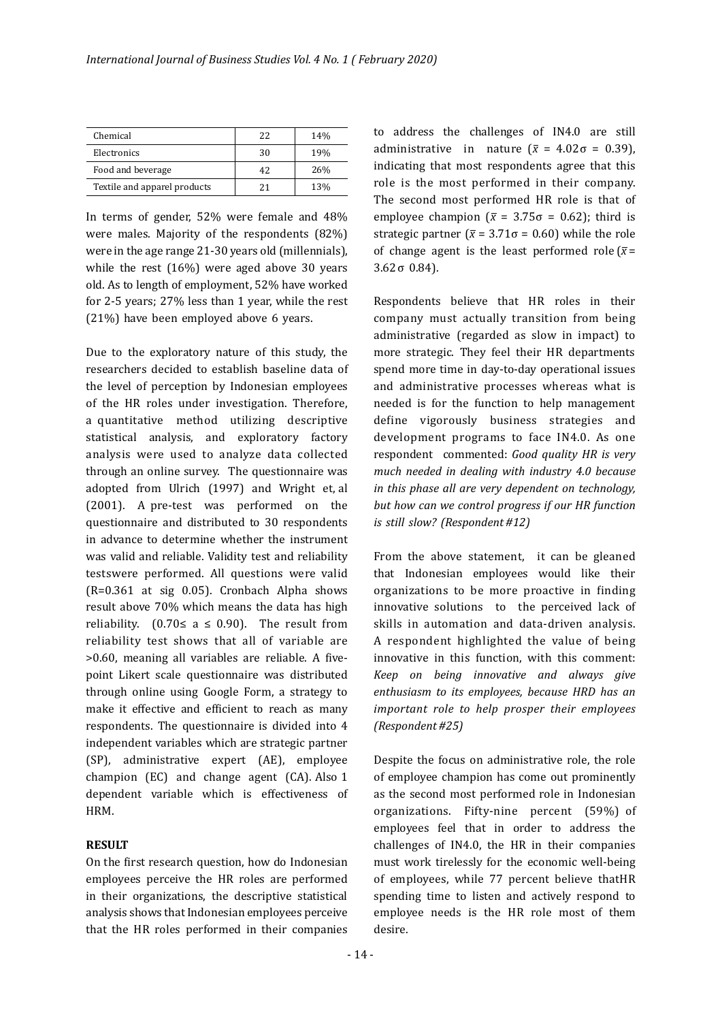| Chemical                     | フフ | 14% |
|------------------------------|----|-----|
| Electronics                  | 30 | 19% |
| Food and beverage            | 42 | 26% |
| Textile and apparel products | 21 | 13% |

In terms of gender, 52% were female and 48% were males. Majority of the respondents (82%) were in the age range 21-30 years old (millennials), while the rest (16%) were aged above 30 years old. As to length of employment, 52% have worked for 2-5 years; 27% less than 1 year, while the rest (21%) have been employed above 6 years.

Due to the exploratory nature of this study, the researchers decided to establish baseline data of the level of perception by Indonesian employees of the HR roles under investigation. Therefore, a quantitative method utilizing descriptive statistical analysis, and exploratory factory analysis were used to analyze data collected through an online survey. The questionnaire was adopted from Ulrich (1997) and Wright et, al (2001). A pre-test was performed on the questionnaire and distributed to 30 respondents in advance to determine whether the instrument was valid and reliable. Validity test and reliability testswere performed. All questions were valid (R=0.361 at sig 0.05). Cronbach Alpha shows result above 70% which means the data has high reliability. (0.70≤ a ≤ 0.90). The result from reliability test shows that all of variable are >0.60, meaning all variables are reliable. A ivepoint Likert scale questionnaire was distributed through online using Google Form, a strategy to make it effective and eficient to reach as many respondents. The questionnaire is divided into 4 independent variables which are strategic partner (SP), administrative expert (AE), employee champion (EC) and change agent (CA). Also 1 dependent variable which is effectiveness of HRM.

#### **RESULT**

On the irst research question, how do Indonesian employees perceive the HR roles are performed in their organizations, the descriptive statistical analysis shows that Indonesian employees perceive that the HR roles performed in their companies

to address the challenges of IN4.0 are still administrative in nature ( $\bar{x}$  = 4.02 $\sigma$  = 0.39), indicating that most respondents agree that this role is the most performed in their company. The second most performed HR role is that of employee champion ( $\bar{x}$  = 3.75 $\sigma$  = 0.62); third is strategic partner ( $\bar{x}$  = 3.71 $\sigma$  = 0.60) while the role of change agent is the least performed role  $(\bar{x} =$ 3.62 σ 0.84).

Respondents believe that HR roles in their company must actually transition from being administrative (regarded as slow in impact) to more strategic. They feel their HR departments spend more time in day-to-day operational issues and administrative processes whereas what is needed is for the function to help management define vigorously business strategies and development programs to face IN4.0. As one respondent commented: *Good quality HR is very much needed in dealing with industry 4.0 because in this phase all are very dependent on technology, but how can we control progress if our HR function is still slow?* (Respondent #12)

From the above statement, it can be gleaned that Indonesian employees would like their organizations to be more proactive in finding innovative solutions to the perceived lack of skills in automation and data-driven analysis. A respondent highlighted the value of being innovative in this function, with this comment: *Keep on being innovative and always give enthusiasm to its employees, because HRD has an important role to help prosper their employees (Respondent #25)*

Despite the focus on administrative role, the role of employee champion has come out prominently as the second most performed role in Indonesian organizations. Fifty-nine percent (59%) of employees feel that in order to address the challenges of IN4.0, the HR in their companies must work tirelessly for the economic well-being of employees, while 77 percent believe thatHR spending time to listen and actively respond to employee needs is the HR role most of them desire.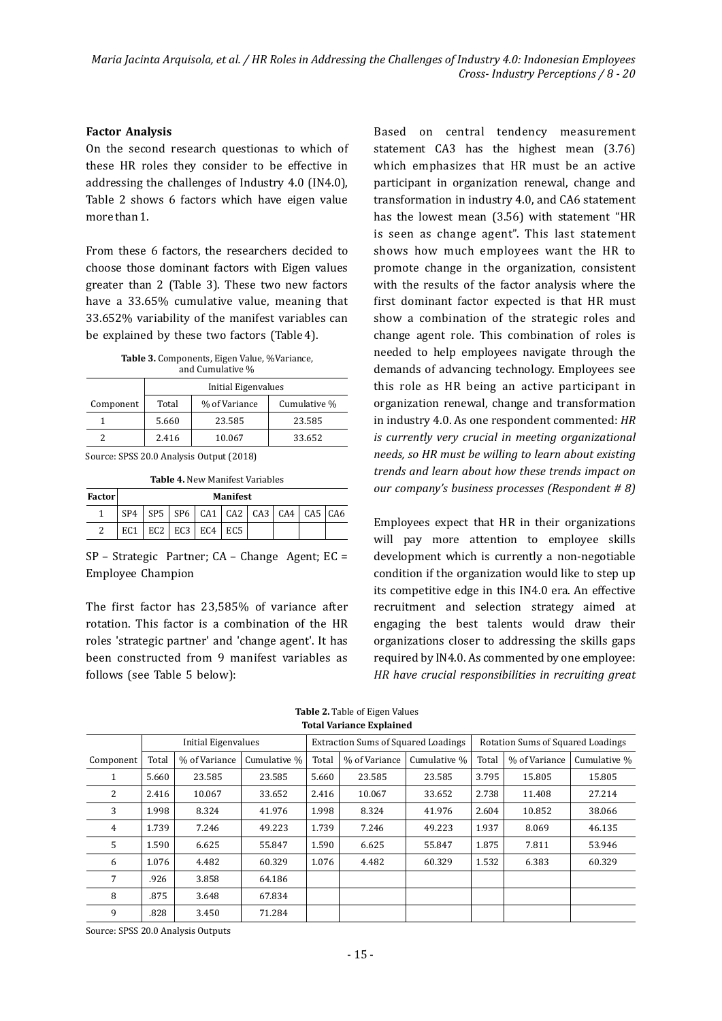#### **Factor Analysis**

On the second research questionas to which of these HR roles they consider to be effective in addressing the challenges of Industry 4.0 (IN4.0), Table 2 shows 6 factors which have eigen value more than 1.

From these 6 factors, the researchers decided to choose those dominant factors with Eigen values greater than 2 (Table 3). These two new factors have a 33.65% cumulative value, meaning that 33.652% variability of the manifest variables can be explained by these two factors (Table 4).

Table 3. Components, Eigen Value, %Variance, and Cumulative %

| $\frac{1}{2}$ |                     |               |              |  |  |  |  |  |
|---------------|---------------------|---------------|--------------|--|--|--|--|--|
|               | Initial Eigenvalues |               |              |  |  |  |  |  |
| Component     | Total               | % of Variance | Cumulative % |  |  |  |  |  |
|               | 5.660               | 23.585        | 23.585       |  |  |  |  |  |
|               | 2.416               | 10.067        | 33.652       |  |  |  |  |  |

Source: SPSS 20.0 Analysis Output (2018)

| Factor | <b>Manifest</b> |                 |     |                                                                 |     |  |  |  |  |  |  |
|--------|-----------------|-----------------|-----|-----------------------------------------------------------------|-----|--|--|--|--|--|--|
|        | SP <sub>4</sub> |                 |     | $ $ SP5 $ $ SP6 $ $ CA1 $ $ CA2 $ $ CA3 $ $ CA4 $ $ CA5 $ $ CA6 |     |  |  |  |  |  |  |
|        | EC1             | EC <sub>2</sub> | EC3 | EC4                                                             | EC5 |  |  |  |  |  |  |

SP – Strategic Partner; CA – Change Agent; EC = Employee Champion

The first factor has 23,585% of variance after rotation. This factor is a combination of the HR roles 'strategic partner' and 'change agent'. It has been constructed from 9 manifest variables as follows (see Table 5 below):

Based on central tendency measurement statement CA3 has the highest mean (3.76) which emphasizes that HR must be an active participant in organization renewal, change and transformation in industry 4.0, and CA6 statement has the lowest mean (3.56) with statement "HR is seen as change agent". This last statement shows how much employees want the HR to promote change in the organization, consistent with the results of the factor analysis where the first dominant factor expected is that HR must show a combination of the strategic roles and change agent role. This combination of roles is needed to help employees navigate through the demands of advancing technology. Employees see this role as HR being an active participant in organization renewal, change and transformation in industry 4.0. As one respondent commented: *HR is currently very crucial in meeting organizational needs, so HR must be willing to learn about existing trends and learn about how these trends impact on our company's business processes (Respondent # 8)* 

Employees expect that HR in their organizations will pay more attention to employee skills development which is currently a non-negotiable condition if the organization would like to step up its competitive edge in this IN4.0 era. An effective recruitment and selection strategy aimed at engaging the best talents would draw their organizations closer to addressing the skills gaps required by IN4.0. As commented by one employee: *HR have crucial responsibilities in recruiting great*

|           | Initial Eigenvalues |               |              | <b>Extraction Sums of Squared Loadings</b> |               |              | Rotation Sums of Squared Loadings |               |              |
|-----------|---------------------|---------------|--------------|--------------------------------------------|---------------|--------------|-----------------------------------|---------------|--------------|
| Component | Total               | % of Variance | Cumulative % | Total                                      | % of Variance | Cumulative % | Total                             | % of Variance | Cumulative % |
|           | 5.660               | 23.585        | 23.585       | 5.660                                      | 23.585        | 23.585       | 3.795                             | 15.805        | 15.805       |
| 2         | 2.416               | 10.067        | 33.652       | 2.416                                      | 10.067        | 33.652       | 2.738                             | 11.408        | 27.214       |
| 3         | 1.998               | 8.324         | 41.976       | 1.998                                      | 8.324         | 41.976       | 2.604                             | 10.852        | 38.066       |
| 4         | 1.739               | 7.246         | 49.223       | 1.739                                      | 7.246         | 49.223       | 1.937                             | 8.069         | 46.135       |
| 5         | 1.590               | 6.625         | 55.847       | 1.590                                      | 6.625         | 55.847       | 1.875                             | 7.811         | 53.946       |
| 6         | 1.076               | 4.482         | 60.329       | 1.076                                      | 4.482         | 60.329       | 1.532                             | 6.383         | 60.329       |
| 7         | .926                | 3.858         | 64.186       |                                            |               |              |                                   |               |              |
| 8         | .875                | 3.648         | 67.834       |                                            |               |              |                                   |               |              |
| 9         | .828                | 3.450         | 71.284       |                                            |               |              |                                   |               |              |

**Total Variance Explained Table 2.** Table of Eigen Values

Source: SPSS 20.0 Analysis Outputs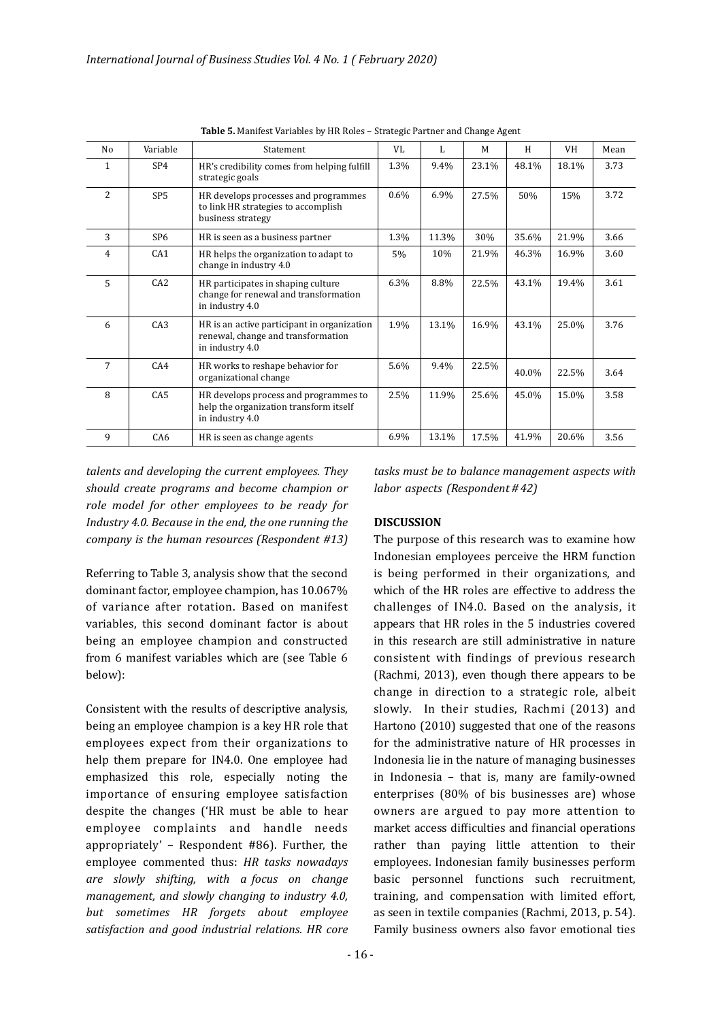| No             | Variable        | Statement                                                                                            | VL      | L     | М     | H     | VH    | Mean |
|----------------|-----------------|------------------------------------------------------------------------------------------------------|---------|-------|-------|-------|-------|------|
| 1              | SP4             | HR's credibility comes from helping fulfill<br>strategic goals                                       | 1.3%    | 9.4%  | 23.1% | 48.1% | 18.1% | 3.73 |
| $\overline{2}$ | SP <sub>5</sub> | HR develops processes and programmes<br>to link HR strategies to accomplish<br>business strategy     | $0.6\%$ | 6.9%  | 27.5% | 50%   | 15%   | 3.72 |
| 3              | SP <sub>6</sub> | HR is seen as a business partner                                                                     | 1.3%    | 11.3% | 30%   | 35.6% | 21.9% | 3.66 |
| 4              | CA1             | HR helps the organization to adapt to<br>change in industry 4.0                                      | 5%      | 10%   | 21.9% | 46.3% | 16.9% | 3.60 |
| 5              | CA <sub>2</sub> | HR participates in shaping culture<br>change for renewal and transformation<br>in industry 4.0       | 6.3%    | 8.8%  | 22.5% | 43.1% | 19.4% | 3.61 |
| 6              | C <sub>A3</sub> | HR is an active participant in organization<br>renewal, change and transformation<br>in industry 4.0 | 1.9%    | 13.1% | 16.9% | 43.1% | 25.0% | 3.76 |
| 7              | CA4             | HR works to reshape behavior for<br>organizational change                                            | 5.6%    | 9.4%  | 22.5% | 40.0% | 22.5% | 3.64 |
| 8              | CA <sub>5</sub> | HR develops process and programmes to<br>help the organization transform itself<br>in industry 4.0   | 2.5%    | 11.9% | 25.6% | 45.0% | 15.0% | 3.58 |
| 9              | CA6             | HR is seen as change agents                                                                          | 6.9%    | 13.1% | 17.5% | 41.9% | 20.6% | 3.56 |

**Table 5.** Manifest Variables by HR Roles – Strategic Partner and Change Agent

talents and developing the current employees. They *should create programs and become champion or role model for other employees to be ready for Industry* 4.0. Because in the end, the one running the *company is the human resources (Respondent #13)* The purpose of this research was to examine how

Referring to Table 3, analysis show that the second dominant factor, employee champion, has 10.067% of variance after rotation. Based on manifest variables, this second dominant factor is about being an employee champion and constructed from 6 manifest variables which are (see Table 6 below):

Consistent with the results of descriptive analysis, being an employee champion is a key HR role that employees expect from their organizations to help them prepare for IN4.0. One employee had emphasized this role, especially noting the importance of ensuring employee satisfaction despite the changes ('HR must be able to hear employee complaints and handle needs appropriately' – Respondent #86). Further, the employee commented thus: HR tasks nowadays *are slowly shifting, with a focus on change management, and slowly changing to industry 4.0, but sometimes HR forgets about employee satisfaction and good industrial relations. HR core* 

tasks must be to balance management aspects with *labor aspects (Respondent* #42)

#### **DISCUSSION**

Indonesian employees perceive the HRM function is being performed in their organizations, and which of the HR roles are effective to address the challenges of IN4.0. Based on the analysis, it appears that HR roles in the 5 industries covered in this research are still administrative in nature consistent with findings of previous research (Rachmi, 2013), even though there appears to be change in direction to a strategic role, albeit slowly. In their studies, Rachmi (2013) and Hartono (2010) suggested that one of the reasons for the administrative nature of HR processes in Indonesia lie in the nature of managing businesses in Indonesia – that is, many are family-owned enterprises (80% of bis businesses are) whose owners are argued to pay more attention to market access difficulties and financial operations rather than paying little attention to their employees. Indonesian family businesses perform basic personnel functions such recruitment, training, and compensation with limited effort, as seen in textile companies (Rachmi, 2013, p. 54). Family business owners also favor emotional ties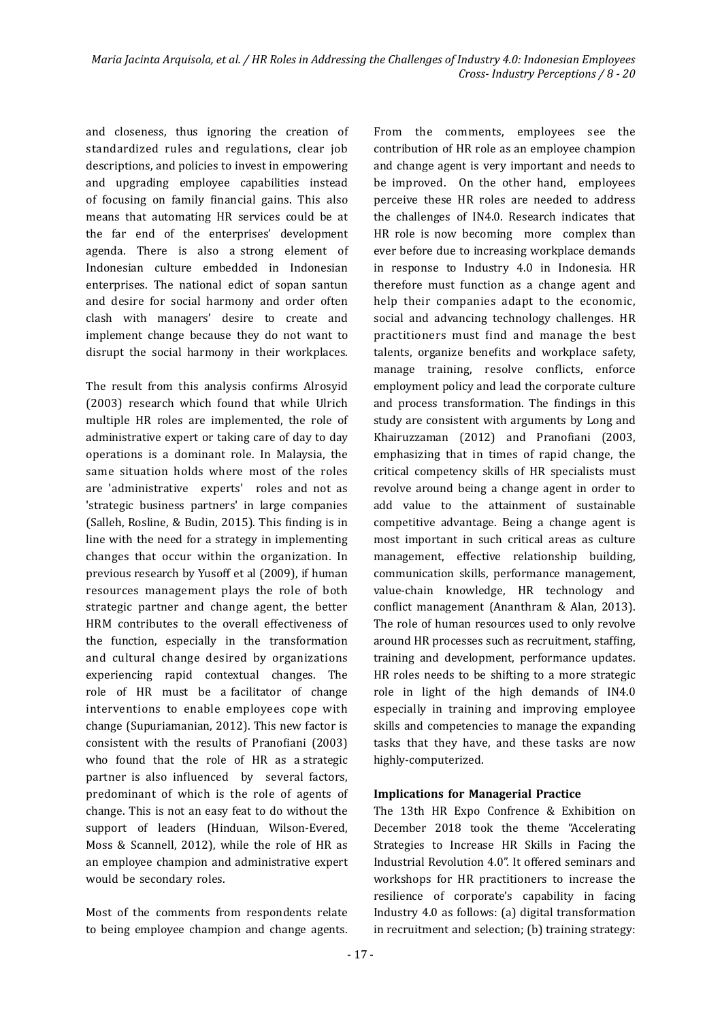and closeness, thus ignoring the creation of standardized rules and regulations, clear job descriptions, and policies to invest in empowering and upgrading employee capabilities instead of focusing on family financial gains. This also means that automating HR services could be at the far end of the enterprises' development agenda. There is also a strong element of Indonesian culture embedded in Indonesian enterprises. The national edict of sopan santun and desire for social harmony and order often clash with managers' desire to create and implement change because they do not want to disrupt the social harmony in their workplaces.

The result from this analysis confirms Alrosyid (2003) research which found that while Ulrich multiple HR roles are implemented, the role of administrative expert or taking care of day to day operations is a dominant role. In Malaysia, the same situation holds where most of the roles are 'administrative experts' roles and not as 'strategic business partners' in large companies (Salleh, Rosline, & Budin, 2015). This finding is in line with the need for a strategy in implementing changes that occur within the organization. In previous research by Yusoff et al (2009), if human resources management plays the role of both strategic partner and change agent, the better HRM contributes to the overall effectiveness of the function, especially in the transformation and cultural change desired by organizations experiencing rapid contextual changes. The role of HR must be a facilitator of change interventions to enable employees cope with change (Supuriamanian, 2012). This new factor is consistent with the results of Pranofiani (2003) who found that the role of HR as a strategic partner is also influenced by several factors, predominant of which is the role of agents of change. This is not an easy feat to do without the support of leaders (Hinduan, Wilson-Evered, Moss & Scannell, 2012), while the role of HR as an employee champion and administrative expert would be secondary roles.

Most of the comments from respondents relate to being employee champion and change agents. From the comments, employees see the contribution of HR role as an employee champion and change agent is very important and needs to be improved. On the other hand, employees perceive these HR roles are needed to address the challenges of IN4.0. Research indicates that HR role is now becoming more complex than ever before due to increasing workplace demands in response to Industry 4.0 in Indonesia. HR therefore must function as a change agent and help their companies adapt to the economic, social and advancing technology challenges. HR practitioners must ind and manage the best talents, organize benefits and workplace safety, manage training, resolve conflicts, enforce employment policy and lead the corporate culture and process transformation. The findings in this study are consistent with arguments by Long and Khairuzzaman (2012) and Pranofiani (2003, emphasizing that in times of rapid change, the critical competency skills of HR specialists must revolve around being a change agent in order to add value to the attainment of sustainable competitive advantage. Being a change agent is most important in such critical areas as culture management, effective relationship building, communication skills, performance management, value-chain knowledge, HR technology and conflict management (Ananthram & Alan, 2013). The role of human resources used to only revolve around HR processes such as recruitment, stafing, training and development, performance updates. HR roles needs to be shifting to a more strategic role in light of the high demands of IN4.0 especially in training and improving employee skills and competencies to manage the expanding tasks that they have, and these tasks are now highly-computerized.

#### **Implications for Managerial Practice**

The 13th HR Expo Confrence & Exhibition on December 2018 took the theme "Accelerating Strategies to Increase HR Skills in Facing the Industrial Revolution 4.0". It offered seminars and workshops for HR practitioners to increase the resilience of corporate's capability in facing Industry 4.0 as follows: (a) digital transformation in recruitment and selection; (b) training strategy: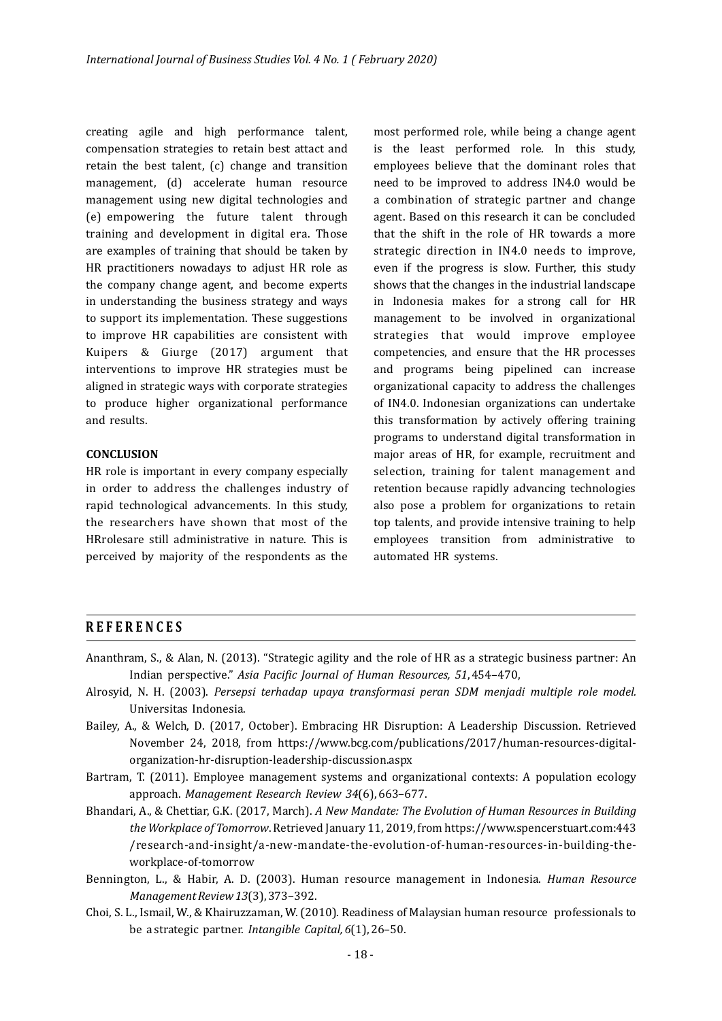creating agile and high performance talent, compensation strategies to retain best attact and retain the best talent, (c) change and transition management, (d) accelerate human resource management using new digital technologies and (e) empowering the future talent through training and development in digital era. Those are examples of training that should be taken by HR practitioners nowadays to adjust HR role as the company change agent, and become experts in understanding the business strategy and ways to support its implementation. These suggestions to improve HR capabilities are consistent with Kuipers & Giurge (2017) argument that interventions to improve HR strategies must be aligned in strategic ways with corporate strategies to produce higher organizational performance and results.

#### **CONCLUSION**

HR role is important in every company especially in order to address the challenges industry of rapid technological advancements. In this study, the researchers have shown that most of the HRrolesare still administrative in nature. This is perceived by majority of the respondents as the

most performed role, while being a change agent is the least performed role. In this study, employees believe that the dominant roles that need to be improved to address IN4.0 would be a combination of strategic partner and change agent. Based on this research it can be concluded that the shift in the role of HR towards a more strategic direction in IN4.0 needs to improve, even if the progress is slow. Further, this study shows that the changes in the industrial landscape in Indonesia makes for a strong call for HR management to be involved in organizational strategies that would improve employee competencies, and ensure that the HR processes and programs being pipelined can increase organizational capacity to address the challenges of IN4.0. Indonesian organizations can undertake this transformation by actively offering training programs to understand digital transformation in major areas of HR, for example, recruitment and selection, training for talent management and retention because rapidly advancing technologies also pose a problem for organizations to retain top talents, and provide intensive training to help employees transition from administrative to automated HR systems.

### **REFERENCES**

- Ananthram, S., & Alan, N. (2013). "Strategic agility and the role of HR as a strategic business partner: An Indian perspective." Asia Pacific Journal of Human Resources, 51, 454-470,
- Alrosyid, N. H. (2003). *Persepsi terhadap upaya transformasi peran SDM menjadi multiple role model.*  Universitas Indonesia.
- Bailey, A., & Welch, D. (2017, October). Embracing HR Disruption: A Leadership Discussion. Retrieved November 24, 2018, from https://www.bcg.com/publications/2017/human-resources-digitalorganization-hr-disruption-leadership-discussion.aspx
- Bartram, T. (2011). Employee management systems and organizational contexts: A population ecology approach. *Management Research Review 34*(6), 663-677.
- /research-and-insight/a-new-mandate-the-evolution-of-human-resources-in-building-theworkplace-of-tomorrow Bhandari, A., & Chettiar, G.K. (2017, March). *A New Mandate: The Evolution of Human Resources in Building* the Workplace of Tomorrow. Retrieved January 11, 2019, from https://www.spencerstuart.com:443
- Bennington, L., & Habir, A. D. (2003). Human resource management in Indonesia. *Human Resource Management Review 13*(3), 373–392.
- Choi, S. L., Ismail, W., & Khairuzzaman, W. (2010). Readiness of Malaysian human resource professionals to be a strategic partner. *Intangible Capital*, 6(1), 26-50.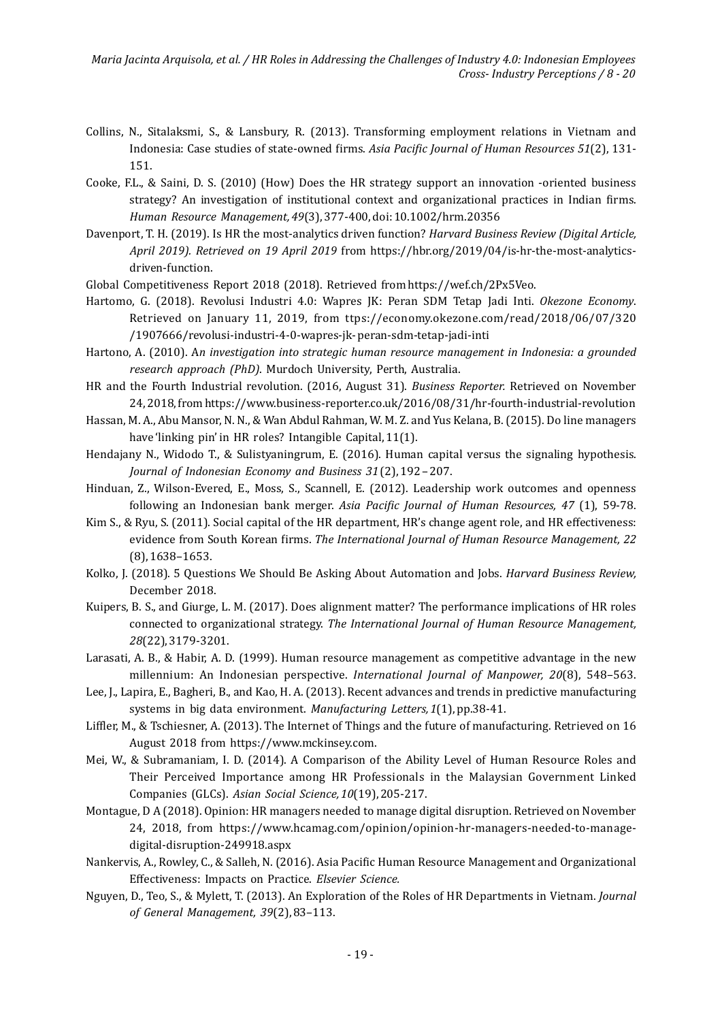*Maria Jacinta Arquisola, et al. / HR Roles in Addressing the Challenges of Industry 4.0: Indonesian Employees Cross- Industry Perceptions / 8 - 20*

- Collins, N., Sitalaksmi, S., & Lansbury, R. (2013). Transforming employment relations in Vietnam and Indonesia: Case studies of state-owned firms. Asia Pacific Journal of Human Resources 51(2), 131-151.
- Cooke, F.L., & Saini, D. S. (2010) (How) Does the HR strategy support an innovation -oriented business strategy? An investigation of institutional context and organizational practices in Indian firms. *Human Resource Management, 49*(3), 377-400, doi: 10.1002/hrm.20356
- Davenport, T. H. (2019). Is HR the most-analytics driven function? *Harvard Business Review (Digital Article, April 2019). Retrieved on 19 April 2019* from https://hbr.org/2019/04/is-hr-the-most-analyticsdriven-function.
- Global Competitiveness Report 2018 (2018). Retrieved from https://wef.ch/2Px5Veo.
- /1907666/revolusi-industri-4-0-wapres-jk- peran-sdm-tetap-jadi-inti Hartomo, G. (2018). Revolusi Industri 4.0: Wapres JK: Peran SDM Tetap Jadi Inti. *Okezone Economy*. Retrieved on January 11, 2019, from ttps://economy.okezone.com/read/2018/06/07/320
- Hartono, A. (2010). An *investigation into strategic human resource management in Indonesia: a grounded research approach (PhD)*. Murdoch University, Perth, Australia.
- HR and the Fourth Industrial revolution. (2016, August 31). *Business Reporter.* Retrieved on November 24, 2018, from https://www.business-reporter.co.uk/2016/08/31/hr-fourth-industrial-revolution
- Hassan, M. A., Abu Mansor, N. N., & Wan Abdul Rahman, W. M. Z. and Yus Kelana, B. (2015). Do line managers have 'linking pin' in HR roles? Intangible Capital, 11(1).
- Hendajany N., Widodo T., & Sulistyaningrum, E. (2016). Human capital versus the signaling hypothesis. *Journal of Indonesian Economy and Business 31* (2), 192 – 207.
- Hinduan, Z., Wilson-Evered, E., Moss, S., Scannell, E. (2012). Leadership work outcomes and openness following an Indonesian bank merger. *Asia Paciic Journal of Human Resources, 47* (1), 59-78.
- Kim S., & Ryu, S. (2011). Social capital of the HR department, HR's change agent role, and HR effectiveness: evidence from South Korean firms. *The International Journal of Human Resource Management, 22* (8), 1638–1653.
- Kolko, J. (2018). 5 Questions We Should Be Asking About Automation and Jobs. *Harvard Business Review*, December 2018.
- Kuipers, B. S., and Giurge, L. M. (2017). Does alignment matter? The performance implications of HR roles connected to organizational strategy. *The International Journal of Human Resource Management*, *28*(22), 3179-3201.
- Larasati, A. B., & Habir, A. D. (1999). Human resource management as competitive advantage in the new millennium: An Indonesian perspective. *International Journal of Manpower, 20*(8), 548–563.
- Lee, J., Lapira, E., Bagheri, B., and Kao, H. A. (2013). Recent advances and trends in predictive manufacturing systems in big data environment. Manufacturing Letters, 1(1), pp.38-41.
- Lifler, M., & Tschiesner, A. (2013). The Internet of Things and the future of manufacturing. Retrieved on 16 August 2018 from https://www.mckinsey.com.
- Mei, W., & Subramaniam, I. D. (2014). A Comparison of the Ability Level of Human Resource Roles and Their Perceived Importance among HR Professionals in the Malaysian Government Linked Companies (GLCs). *Asian Social Science, 10*(19), 205-217.
- Montague, D A (2018). Opinion: HR managers needed to manage digital disruption. Retrieved on November 24, 2018, from https://www.hcamag.com/opinion/opinion-hr-managers-needed-to-managedigital-disruption-249918.aspx
- Nankervis, A., Rowley, C., & Salleh, N. (2016). Asia Paciic Human Resource Management and Organizational Effectiveness: Impacts on Practice. *Elsevier Science.*
- Nguyen, D., Teo, S., & Mylett, T. (2013). An Exploration of the Roles of HR Departments in Vietnam. *Journal of General Management, 39*(2), 83–113.